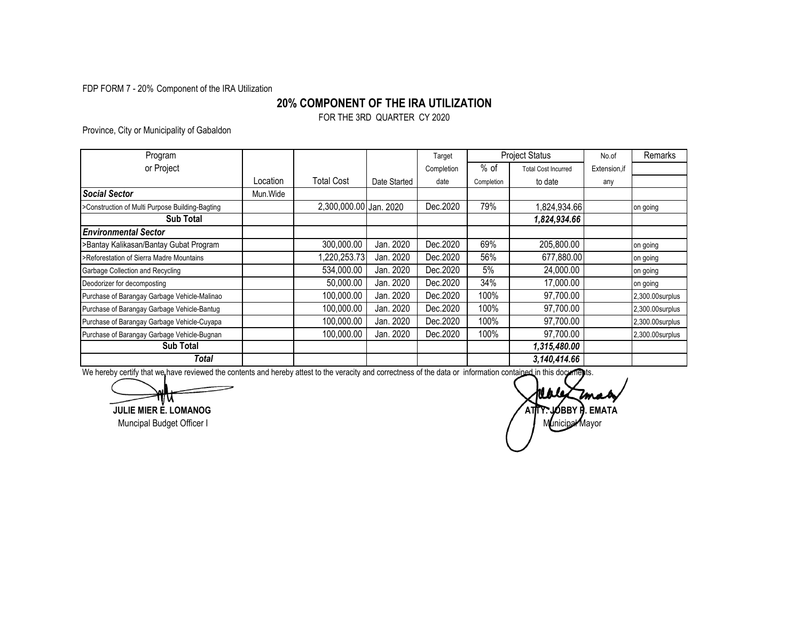FDP FORM 7 - 20% Component of the IRA Utilization

## **20% COMPONENT OF THE IRA UTILIZATION**

FOR THE 3RD QUARTER CY 2020

Province, City or Municipality of Gabaldon

| Program                                         |          |                        |              | Target     | <b>Project Status</b> |                            | No.of         | Remarks         |
|-------------------------------------------------|----------|------------------------|--------------|------------|-----------------------|----------------------------|---------------|-----------------|
| or Project                                      |          |                        |              | Completion | $%$ of                | <b>Total Cost Incurred</b> | Extension, if |                 |
|                                                 | _ocation | <b>Total Cost</b>      | Date Started | date       | Completion            | to date                    | any           |                 |
| <b>Social Sector</b>                            | Mun.Wide |                        |              |            |                       |                            |               |                 |
| >Construction of Multi Purpose Building-Bagting |          | 2,300,000.00 Jan. 2020 |              | Dec.2020   | 79%                   | 1,824,934.66               |               | on going        |
| <b>Sub Total</b>                                |          |                        |              |            |                       | 1,824,934.66               |               |                 |
| <b>Environmental Sector</b>                     |          |                        |              |            |                       |                            |               |                 |
| >Bantay Kalikasan/Bantay Gubat Program          |          | 300,000.00             | Jan. 2020    | Dec.2020   | 69%                   | 205,800.00                 |               | on going        |
| >Reforestation of Sierra Madre Mountains        |          | 1,220,253.73           | Jan. 2020    | Dec.2020   | 56%                   | 677,880.00                 |               | on going        |
| Garbage Collection and Recycling                |          | 534,000.00             | Jan. 2020    | Dec.2020   | 5%                    | 24,000.00                  |               | on going        |
| Deodorizer for decomposting                     |          | 50,000.00              | Jan. 2020    | Dec.2020   | 34%                   | 17,000.00                  |               | on going        |
| Purchase of Barangay Garbage Vehicle-Malinao    |          | 100,000.00             | Jan. 2020    | Dec.2020   | 100%                  | 97,700.00                  |               | 2,300.00surplus |
| Purchase of Barangay Garbage Vehicle-Bantug     |          | 100,000.00             | Jan. 2020    | Dec.2020   | 100%                  | 97,700.00                  |               | 2,300.00surplus |
| Purchase of Barangay Garbage Vehicle-Cuyapa     |          | 100,000.00             | Jan. 2020    | Dec.2020   | 100%                  | 97,700.00                  |               | 2,300.00surplus |
| Purchase of Barangay Garbage Vehicle-Bugnan     |          | 100,000.00             | Jan. 2020    | Dec.2020   | 100%                  | 97,700.00                  |               | 2,300.00surplus |
| <b>Sub Total</b>                                |          |                        |              |            |                       | 1,315,480.00               |               |                 |
| Total                                           |          |                        |              |            |                       | 3,140,414.66               |               |                 |

We hereby certify that we have reviewed the contents and hereby attest to the veracity and correctness of the data or information contained in this documents.

ww **JULIE MIER E. LOMANOG**

Muncipal Budget Officer I

**ATTY. JOBBY P. EMATA** Municipal Mayor